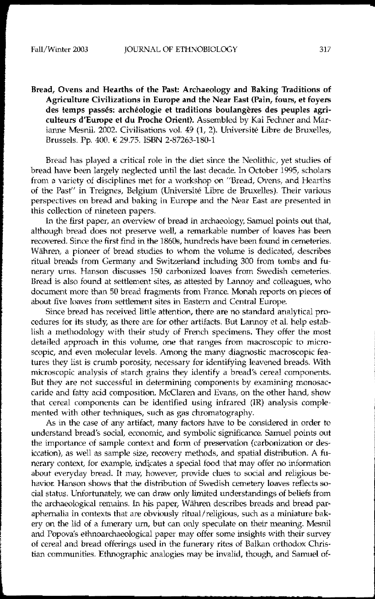Bread, Ovens and Hearths of the Past: Archaeology and Baking Traditions of Agriculture CIvilizations in Europe and the Near East (Pain, fours, et foyers des temps passés: archéologie et traditions boulangères des peuples agriculteurs d'Europe et du Proche Orient). Assembled by Kai Fechner and Marianne Mesnil. 2002. Civilisations vol. 49 (1, 2). Université Libre de Bruxelles, Brussels. Pp. 400. €29.75. ISBN 2-87263-180-1

Bread has played a critical role in the diet since the Neolithic, yet studies of bread have been largely neglected until the last decade. In October 1995, scholars from a variety of disciplines met for a workshop on "Bread, Ovens, and Hearths of the Past" in Treignes, Belgium (Universite Libre de Bruxelles). Their various perspectives on bread and baking in Europe and the Near East are presented in this collection of nineteen papers.

In the first paper, an overview of bread in archaeology, Samuel points out that, although bread does not preserve well, a remarkable number of loaves has been recovered. Since the first find in the 18608, hundreds have been found in cemeteries. Währen, a pioneer of bread studies to whom the volume is dedicated, describes ritual breads from Germany and Switzerland induding 300 from tombs and funerary urns. Hanson discusses 150 carbonized loaves from Swedish cemeteries. Bread is also found at settlement sites, as attested by Lannoy and colleagues, who document more than 50 bread fragments from France. Monah reports on pieces of about five loaves from settlement sites in Eastern and Central Europe.

Since bread has received little attention, there are no standard analytical procedures for its study, as there are for other artifacts. But Lannoy et al. help establish a methodology with their study of French specimens. They offer the most detailed approach in this volume, one that ranges from macroscopic to microscopic, and even molecular levels. Among the many diagnostic macroscopic features they list is crumb porosity, necessary for identifying leavened breads. With microscopic analysis of starch grains they identify a bread's cereal components. But they are not successful in determining components by examining monosaccaride and fatty acid composition. McClaren and Evans, on the other hand, show that cereal components can be identified using infrared (IR) analysis complemented with other techniques, such as gas chromatography.

As in the case of any artifact, many factors have to be considered in order to understand bread's social, economic, and symbolic significance. Samuel points out the importance of sample context and form of preservation (carbonization or desiccation), as well as sample size, recovery methods, and spatial distribution. A funerary context, for example, indicates a special food that may offer no information about everyday bread. It may, however, provide clues to social and religious behavior. Hanson shows that the distribution of Swedish cemetery loaves reflects social status. Unfortunately, we can draw only limited understandings of beliefs from the archaeological remains. In his paper, Währen describes breads and bread paraphernalia in contexts that are obviously ritual/religious, such as a miniature bakery on the lid of a funerary urn, but can only speculate on their meaning. Mesnil and Popova's ethnoarchaeological paper may offer some insights with their survey of cereal and bread offerings used in the funerary rites of Balkan orthodox Christian communities. Ethnographic analogies may be invalid, though, and Samuel of